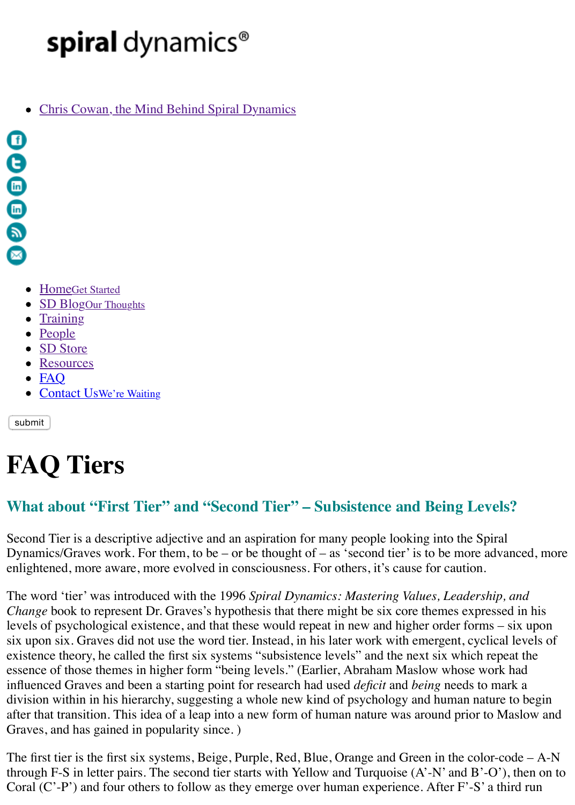

- HomeGet Started
- SD BlogOur Thoughts
- $\bullet$  Training
- People
- SD Store
- Resources
- $\bullet$  FAQ
- Contact UsWe're Waiting

[sub](mailto:info@spiraldynamics.org)mit

# **F[AQ T](http://spiraldynamics.org/training/)[iers](http://spiraldynamics.org/blog/)**

## **Wha[t about](http://spiraldynamics.org/sd-store/) ["](http://spiraldynamics.org/advanced-resources/)First Tier" and "Second Tier" – Subsistence and Being Level**

Secon[d Tier is a descriptive a](http://spiraldynamics.org/contact-us/)djective and an aspiration for many people looking into the Spira Dynamics/Graves work. For them, to be – or be thought of – as 'second tier' is to be more adv enlightened, more aware, more evolved in consciousness. For others, it's cause for caution.

The word 'tier' was introduced with the 1996 Spiral Dynamics: Mastering Values, Leadership *Change* book to represent Dr. Graves's hypothesis that there might be six core themes expressed in the new heats of  $\mu$ levels of psychological existence, and that these would repeat in new and higher order forms – six upon six. Graves did not use the word tier. Instead, in his later work with emergent, cyclical existence theory, he called the first six systems "subsistence levels" and the next six which rep essence of those themes in higher form "being levels." (Earlier, Abraham Maslow whose work influenced Graves and been a starting point for research had used *deficit* and *being* needs to ma division within in his hierarchy, suggesting a whole new kind of psychology and human nature after that transition. This idea of a leap into a new form of human nature was around prior to N Graves, and has gained in popularity since. )

The first tier is the first six systems, Beige, Purple, Red, Blue, Orange and Green in the color-code – through F-S in letter pairs. The second tier starts with Yellow and Turquoise  $(A'-N'$  and  $B'-O'$ Coral (C'-P') and four others to follow as they emerge over human experience. After F'-S' a the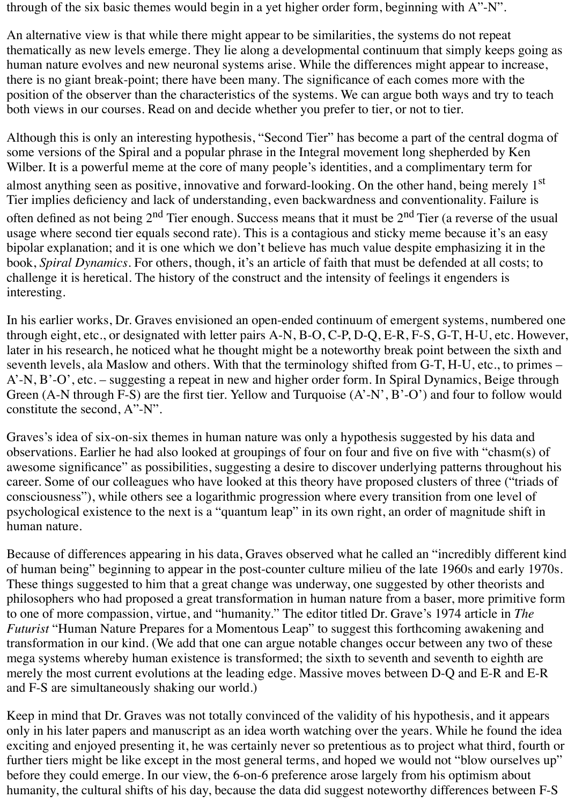through of the six basic themes would begin in a yet higher order form, beginning with A"-N".

An alternative view is that while there might appear to be similarities, the systems do not repeat thematically as new levels emerge. They lie along a developmental continuum that simply keeps going as human nature evolves and new neuronal systems arise. While the differences might appear to increase, there is no giant break-point; there have been many. The significance of each comes more with the position of the observer than the characteristics of the systems. We can argue both ways and try to teach both views in our courses. Read on and decide whether you prefer to tier, or not to tier.

Although this is only an interesting hypothesis, "Second Tier" has become a part of the central dogma of some versions of the Spiral and a popular phrase in the Integral movement long shepherded by Ken Wilber. It is a powerful meme at the core of many people's identities, and a complimentary term for almost anything seen as positive, innovative and forward-looking. On the other hand, being merely 1<sup>st</sup> Tier implies deficiency and lack of understanding, even backwardness and conventionality. Failure is often defined as not being  $2<sup>nd</sup>$  Tier enough. Success means that it must be  $2<sup>nd</sup>$  Tier (a reverse of the usual usage where second tier equals second rate). This is a contagious and sticky meme because it's an easy bipolar explanation; and it is one which we don't believe has much value despite emphasizing it in the book, *Spiral Dynamics*. For others, though, it's an article of faith that must be defended at all costs; to challenge it is heretical. The history of the construct and the intensity of feelings it engenders is interesting.

In his earlier works, Dr. Graves envisioned an open-ended continuum of emergent systems, numbered one through eight, etc., or designated with letter pairs A-N, B-O, C-P, D-Q, E-R, F-S, G-T, H-U, etc. However, later in his research, he noticed what he thought might be a noteworthy break point between the sixth and seventh levels, ala Maslow and others. With that the terminology shifted from G-T, H-U, etc., to primes – A'-N, B'-O', etc. – suggesting a repeat in new and higher order form. In Spiral Dynamics, Beige through Green (A-N through F-S) are the first tier. Yellow and Turquoise (A'-N', B'-O') and four to follow would constitute the second, A"-N".

Graves's idea of six-on-six themes in human nature was only a hypothesis suggested by his data and observations. Earlier he had also looked at groupings of four on four and five on five with "chasm(s) of awesome significance" as possibilities, suggesting a desire to discover underlying patterns throughout his career. Some of our colleagues who have looked at this theory have proposed clusters of three ("triads of consciousness"), while others see a logarithmic progression where every transition from one level of psychological existence to the next is a "quantum leap" in its own right, an order of magnitude shift in human nature.

Because of differences appearing in his data, Graves observed what he called an "incredibly different kind of human being" beginning to appear in the post-counter culture milieu of the late 1960s and early 1970s. These things suggested to him that a great change was underway, one suggested by other theorists and philosophers who had proposed a great transformation in human nature from a baser, more primitive form to one of more compassion, virtue, and "humanity." The editor titled Dr. Grave's 1974 article in *The Futurist* "Human Nature Prepares for a Momentous Leap" to suggest this forthcoming awakening and transformation in our kind. (We add that one can argue notable changes occur between any two of these mega systems whereby human existence is transformed; the sixth to seventh and seventh to eighth are merely the most current evolutions at the leading edge. Massive moves between D-Q and E-R and E-R and F-S are simultaneously shaking our world.)

Keep in mind that Dr. Graves was not totally convinced of the validity of his hypothesis, and it appears only in his later papers and manuscript as an idea worth watching over the years. While he found the idea exciting and enjoyed presenting it, he was certainly never so pretentious as to project what third, fourth or further tiers might be like except in the most general terms, and hoped we would not "blow ourselves up" before they could emerge. In our view, the 6-on-6 preference arose largely from his optimism about humanity, the cultural shifts of his day, because the data did suggest noteworthy differences between F-S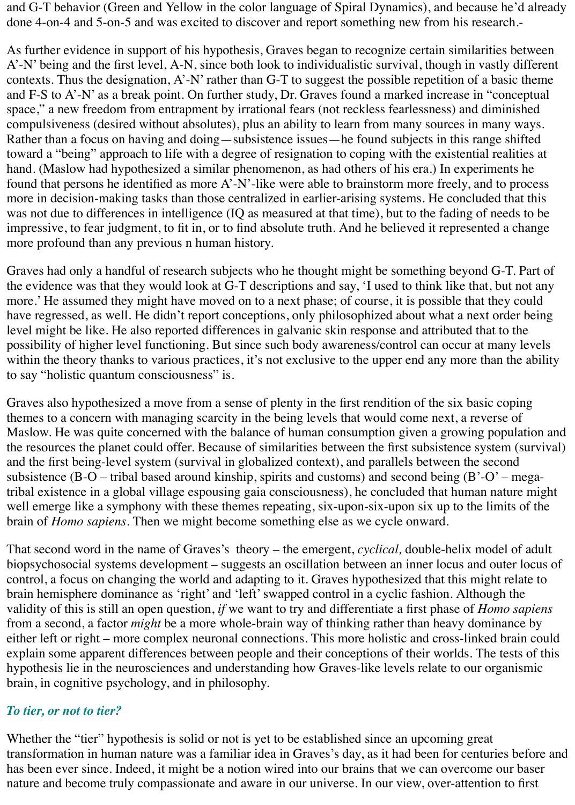and G-T behavior (Green and Yellow in the color language of Spiral Dynamics), and because he'd already done 4-on-4 and 5-on-5 and was excited to discover and report something new from his research.-

As further evidence in support of his hypothesis, Graves began to recognize certain similarities between A'-N' being and the first level, A-N, since both look to individualistic survival, though in vastly different contexts. Thus the designation, A'-N' rather than G-T to suggest the possible repetition of a basic theme and F-S to A'-N' as a break point. On further study, Dr. Graves found a marked increase in "conceptual space," a new freedom from entrapment by irrational fears (not reckless fearlessness) and diminished compulsiveness (desired without absolutes), plus an ability to learn from many sources in many ways. Rather than a focus on having and doing—subsistence issues—he found subjects in this range shifted toward a "being" approach to life with a degree of resignation to coping with the existential realities at hand. (Maslow had hypothesized a similar phenomenon, as had others of his era.) In experiments he found that persons he identified as more A'-N'-like were able to brainstorm more freely, and to process more in decision-making tasks than those centralized in earlier-arising systems. He concluded that this was not due to differences in intelligence (IQ as measured at that time), but to the fading of needs to be impressive, to fear judgment, to fit in, or to find absolute truth. And he believed it represented a change more profound than any previous n human history.

Graves had only a handful of research subjects who he thought might be something beyond G-T. Part of the evidence was that they would look at G-T descriptions and say, 'I used to think like that, but not any more.' He assumed they might have moved on to a next phase; of course, it is possible that they could have regressed, as well. He didn't report conceptions, only philosophized about what a next order being level might be like. He also reported differences in galvanic skin response and attributed that to the possibility of higher level functioning. But since such body awareness/control can occur at many levels within the theory thanks to various practices, it's not exclusive to the upper end any more than the ability to say "holistic quantum consciousness" is.

Graves also hypothesized a move from a sense of plenty in the first rendition of the six basic coping themes to a concern with managing scarcity in the being levels that would come next, a reverse of Maslow. He was quite concerned with the balance of human consumption given a growing population and the resources the planet could offer. Because of similarities between the first subsistence system (survival) and the first being-level system (survival in globalized context), and parallels between the second subsistence (B-O – tribal based around kinship, spirits and customs) and second being  $(B'-O'-$  megatribal existence in a global village espousing gaia consciousness), he concluded that human nature might well emerge like a symphony with these themes repeating, six-upon-six-upon six up to the limits of the brain of *Homo sapiens*. Then we might become something else as we cycle onward.

That second word in the name of Graves's theory – the emergent, *cyclical,* double-helix model of adult biopsychosocial systems development – suggests an oscillation between an inner locus and outer locus of control, a focus on changing the world and adapting to it. Graves hypothesized that this might relate to brain hemisphere dominance as 'right' and 'left' swapped control in a cyclic fashion. Although the validity of this is still an open question, *if* we want to try and differentiate a first phase of *Homo sapiens* from a second, a factor *might* be a more whole-brain way of thinking rather than heavy dominance by either left or right – more complex neuronal connections. This more holistic and cross-linked brain could explain some apparent differences between people and their conceptions of their worlds. The tests of this hypothesis lie in the neurosciences and understanding how Graves-like levels relate to our organismic brain, in cognitive psychology, and in philosophy.

#### *To tier, or not to tier?*

Whether the "tier" hypothesis is solid or not is yet to be established since an upcoming great transformation in human nature was a familiar idea in Graves's day, as it had been for centuries before and has been ever since. Indeed, it might be a notion wired into our brains that we can overcome our baser nature and become truly compassionate and aware in our universe. In our view, over-attention to first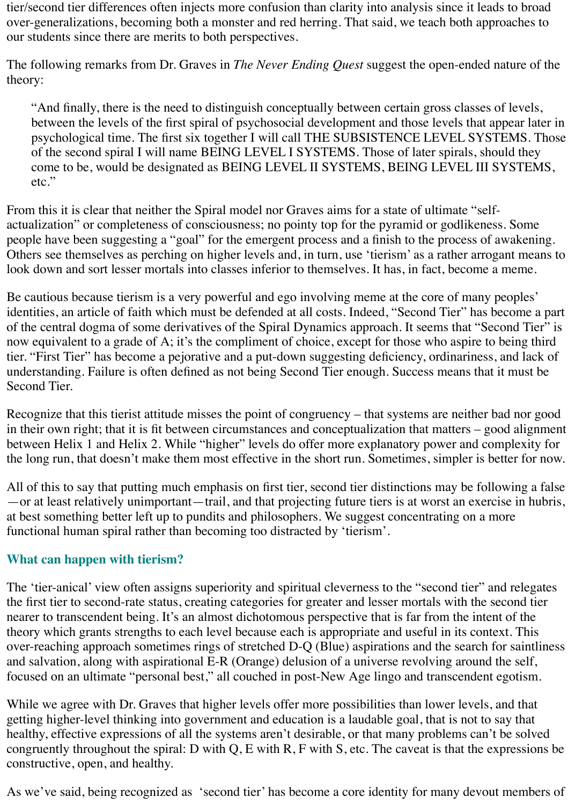tier/second tier differences often injects more confusion than clarity into analysis since it leads to broad over-generalizations, becoming both a monster and red herring. That said, we teach both approaches to our students since there are merits to both perspectives.

The following remarks from Dr. Graves in *The Never Ending Quest* suggest the open-ended nature of the theory:

"And finally, there is the need to distinguish conceptually between certain gross classes of levels, between the levels of the first spiral of psychosocial development and those levels that appear later in psychological time. The first six together I will call THE SUBSISTENCE LEVEL SYSTEMS. Those of the second spiral I will name BEING LEVEL I SYSTEMS. Those of later spirals, should they come to be, would be designated as BEING LEVEL II SYSTEMS, BEING LEVEL III SYSTEMS, etc."

From this it is clear that neither the Spiral model nor Graves aims for a state of ultimate "selfactualization" or completeness of consciousness; no pointy top for the pyramid or godlikeness. Some people have been suggesting a "goal" for the emergent process and a finish to the process of awakening. Others see themselves as perching on higher levels and, in turn, use 'tierism' as a rather arrogant means to look down and sort lesser mortals into classes inferior to themselves. It has, in fact, become a meme.

Be cautious because tierism is a very powerful and ego involving meme at the core of many peoples' identities, an article of faith which must be defended at all costs. Indeed, "Second Tier" has become a part of the central dogma of some derivatives of the Spiral Dynamics approach. It seems that "Second Tier" is now equivalent to a grade of A; it's the compliment of choice, except for those who aspire to being third tier. "First Tier" has become a pejorative and a put-down suggesting deficiency, ordinariness, and lack of understanding. Failure is often defined as not being Second Tier enough. Success means that it must be Second Tier.

Recognize that this tierist attitude misses the point of congruency – that systems are neither bad nor good in their own right; that it is fit between circumstances and conceptualization that matters – good alignment between Helix 1 and Helix 2. While "higher" levels do offer more explanatory power and complexity for the long run, that doesn't make them most effective in the short run. Sometimes, simpler is better for now.

All of this to say that putting much emphasis on first tier, second tier distinctions may be following a false —or at least relatively unimportant—trail, and that projecting future tiers is at worst an exercise in hubris, at best something better left up to pundits and philosophers. We suggest concentrating on a more functional human spiral rather than becoming too distracted by 'tierism'.

### **What can happen with tierism?**

The 'tier-anical' view often assigns superiority and spiritual cleverness to the "second tier" and relegates the first tier to second-rate status, creating categories for greater and lesser mortals with the second tier nearer to transcendent being. It's an almost dichotomous perspective that is far from the intent of the theory which grants strengths to each level because each is appropriate and useful in its context. This over-reaching approach sometimes rings of stretched D-Q (Blue) aspirations and the search for saintliness and salvation, along with aspirational E-R (Orange) delusion of a universe revolving around the self, focused on an ultimate "personal best," all couched in post-New Age lingo and transcendent egotism.

While we agree with Dr. Graves that higher levels offer more possibilities than lower levels, and that getting higher-level thinking into government and education is a laudable goal, that is not to say that healthy, effective expressions of all the systems aren't desirable, or that many problems can't be solved congruently throughout the spiral: D with Q, E with R, F with S, etc. The caveat is that the expressions be constructive, open, and healthy.

As we've said, being recognized as 'second tier' has become a core identity for many devout members of